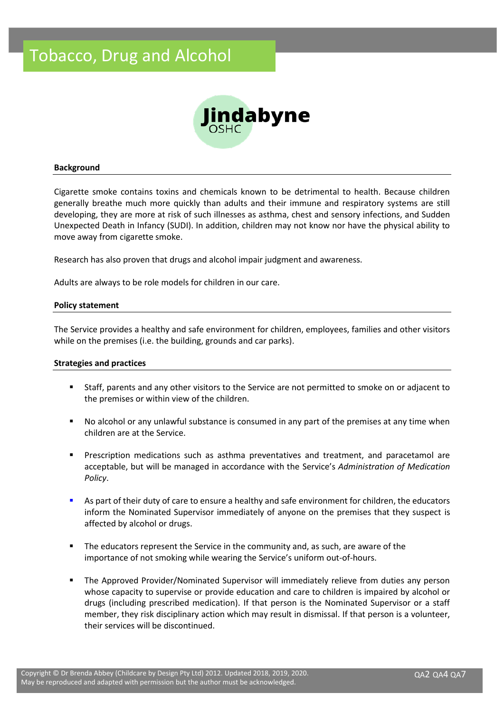

# **Background**

Cigarette smoke contains toxins and chemicals known to be detrimental to health. Because children generally breathe much more quickly than adults and their immune and respiratory systems are still developing, they are more at risk of such illnesses as asthma, chest and sensory infections, and Sudden Unexpected Death in Infancy (SUDI). In addition, children may not know nor have the physical ability to move away from cigarette smoke.

Research has also proven that drugs and alcohol impair judgment and awareness.

Adults are always to be role models for children in our care.

### **Policy statement**

The Service provides a healthy and safe environment for children, employees, families and other visitors while on the premises (i.e. the building, grounds and car parks).

# **Strategies and practices**

- Staff, parents and any other visitors to the Service are not permitted to smoke on or adjacent to the premises or within view of the children.
- No alcohol or any unlawful substance is consumed in any part of the premises at any time when children are at the Service.
- Prescription medications such as asthma preventatives and treatment, and paracetamol are acceptable, but will be managed in accordance with the Service's *Administration of Medication Policy*.
- As part of their duty of care to ensure a healthy and safe environment for children, the educators inform the Nominated Supervisor immediately of anyone on the premises that they suspect is affected by alcohol or drugs.
- The educators represent the Service in the community and, as such, are aware of the importance of not smoking while wearing the Service's uniform out-of-hours.
- **■** The Approved Provider/Nominated Supervisor will immediately relieve from duties any person whose capacity to supervise or provide education and care to children is impaired by alcohol or drugs (including prescribed medication). If that person is the Nominated Supervisor or a staff member, they risk disciplinary action which may result in dismissal. If that person is a volunteer, their services will be discontinued.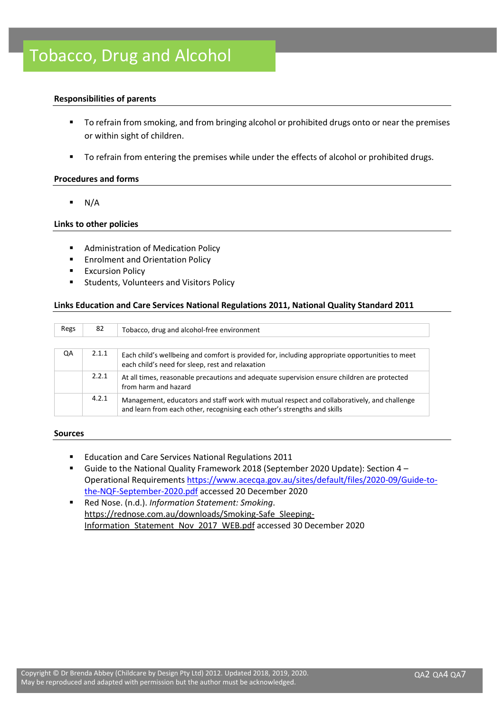# **Responsibilities of parents**

- To refrain from smoking, and from bringing alcohol or prohibited drugs onto or near the premises or within sight of children.
- To refrain from entering the premises while under the effects of alcohol or prohibited drugs.

## **Procedures and forms**

 $\blacksquare$  N/A

# **Links to other policies**

- Administration of Medication Policy
- Enrolment and Orientation Policy
- **Excursion Policy**
- Students, Volunteers and Visitors Policy

### **Links Education and Care Services National Regulations 2011, National Quality Standard 2011**

| Regs | 82    | Tobacco, drug and alcohol-free environment                                                                                                                              |  |  |
|------|-------|-------------------------------------------------------------------------------------------------------------------------------------------------------------------------|--|--|
|      |       |                                                                                                                                                                         |  |  |
| QA   | 2.1.1 | Each child's wellbeing and comfort is provided for, including appropriate opportunities to meet<br>each child's need for sleep, rest and relaxation                     |  |  |
|      | 2.2.1 | At all times, reasonable precautions and adequate supervision ensure children are protected<br>from harm and hazard                                                     |  |  |
|      | 4.2.1 | Management, educators and staff work with mutual respect and collaboratively, and challenge<br>and learn from each other, recognising each other's strengths and skills |  |  |

### **Sources**

- Education and Care Services National Regulations 2011
- Guide to the National Quality Framework 2018 (September 2020 Update): Section 4 Operational Requirements [https://www.acecqa.gov.au/sites/default/files/2020-09/Guide-to](https://www.acecqa.gov.au/sites/default/files/2020-09/Guide-to-the-NQF-September-2020.pdf)[the-NQF-September-2020.pdf](https://www.acecqa.gov.au/sites/default/files/2020-09/Guide-to-the-NQF-September-2020.pdf) accessed 20 December 2020
- Red Nose. (n.d.). *Information Statement: Smoking*. [https://rednose.com.au/downloads/Smoking-Safe\\_Sleeping-](https://rednose.com.au/downloads/Smoking-Safe_Sleeping-Information_Statement_Nov_2017_WEB.pdf)[Information\\_Statement\\_Nov\\_2017\\_WEB.pdf](https://rednose.com.au/downloads/Smoking-Safe_Sleeping-Information_Statement_Nov_2017_WEB.pdf) accessed 30 December 2020